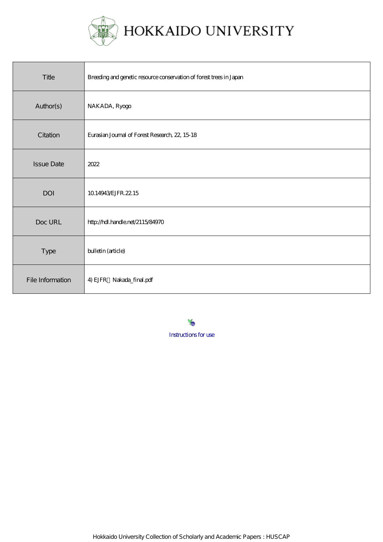

| Title             | Breeding and genetic resource conservation of forest trees in Japan |
|-------------------|---------------------------------------------------------------------|
| Author(s)         | NAKADA, Ryogo                                                       |
| Citation          | Eurasian Journal of Forest Research, 22, 15 18                      |
| <b>Issue Date</b> | 2022                                                                |
| <b>DOI</b>        | 10.14943/EJFR.22.15                                                 |
| Doc URL           | http://hdl.handle.net/2115/84970                                    |
| Type              | bulletin (article)                                                  |
| File Information  | 4) EJFR Nakada_final.pdf                                            |

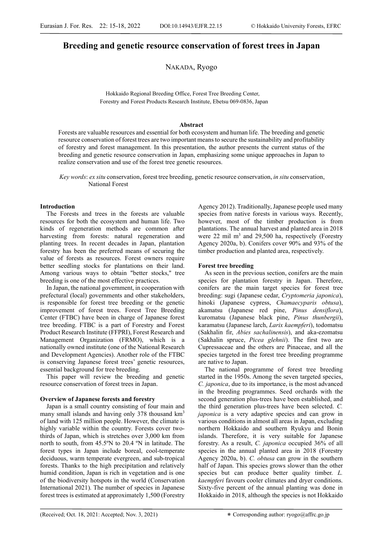# Breeding and genetic resource conservation of forest trees in Japan

NAKADA, Ryogo

Hokkaido Regional Breeding Office, Forest Tree Breeding Center, Forestry and Forest Products Research Institute, Ebetsu 069-0836, Japan

# Abstract

Forests are valuable resources and essential for both ecosystem and human life. The breeding and genetic resource conservation of forest trees are two important means to secure the sustainability and profitability of forestry and forest management. In this presentation, the author presents the current status of the breeding and genetic resource conservation in Japan, emphasizing some unique approaches in Japan to realize conservation and use of the forest tree genetic resources.

Key words: ex situ conservation, forest tree breeding, genetic resource conservation, in situ conservation, National Forest

# **Introduction**

The Forests and trees in the forests are valuable resources for both the ecosystem and human life. Two kinds of regeneration methods are common after harvesting from forests: natural regeneration and planting trees. In recent decades in Japan, plantation forestry has been the preferred means of securing the value of forests as resources. Forest owners require better seedling stocks for plantations on their land. Among various ways to obtain "better stocks," tree breeding is one of the most effective practices.

In Japan, the national government, in cooperation with prefectural (local) governments and other stakeholders, is responsible for forest tree breeding or the genetic improvement of forest trees. Forest Tree Breeding Center (FTBC) have been in charge of Japanese forest tree breeding. FTBC is a part of Forestry and Forest Product Research Institute (FFPRI), Forest Research and Management Organization (FRMO), which is a nationally owned institute (one of the National Research and Development Agencies). Another role of the FTBC is conserving Japanese forest trees' genetic resources, essential background for tree breeding.

This paper will review the breeding and genetic resource conservation of forest trees in Japan.

### Overview of Japanese forests and forestry

Japan is a small country consisting of four main and many small islands and having only 378 thousand  $km<sup>3</sup>$ of land with 125 million people. However, the climate is highly variable within the country. Forests cover twothirds of Japan, which is stretches over 3,000 km from north to south, from 45.5ºN to 20.4 ºN in latitude. The forest types in Japan include boreal, cool-temperate deciduous, warm temperate evergreen, and sub-tropical forests. Thanks to the high precipitation and relatively humid condition, Japan is rich in vegetation and is one of the biodiversity hotspots in the world (Conservation International 2021). The number of species in Japanese forest trees is estimated at approximately 1,500 (Forestry

Agency 2012). Traditionally, Japanese people used many species from native forests in various ways. Recently, however, most of the timber production is from plantations. The annual harvest and planted area in 2018 were 22 mil m<sup>3</sup> and 29,500 ha, respectively (Forestry Agency 2020a, b). Conifers cover 90% and 93% of the timber production and planted area, respectively.

# Forest tree breeding

As seen in the previous section, conifers are the main species for plantation forestry in Japan. Therefore, conifers are the main target species for forest tree breeding: sugi (Japanese cedar, Cryptomeria japonica), hinoki (Japanese cypress, Chamaecyparis obtusa), akamatsu (Japanese red pine, Pinus densiflora), kuromatsu (Japanese black pine, Pinus thunbergii), karamatsu (Japanese larch, Larix kaempferi), todomatsu (Sakhalin fir, Abies sachalinensis), and aka-ezomatsu (Sakhalin spruce, Picea glehnii). The first two are Cupressaceae and the others are Pinaceae, and all the species targeted in the forest tree breeding programme are native to Japan.

The national programme of forest tree breeding started in the 1950s. Among the seven targeted species, C. japonica, due to its importance, is the most advanced in the breeding programmes. Seed orchards with the second generation plus-trees have been established, and the third generation plus-trees have been selected. C. *japonica* is a very adaptive species and can grow in various conditions in almost all areas in Japan, excluding northern Hokkaido and southern Ryukyu and Bonin islands. Therefore, it is very suitable for Japanese forestry. As a result, C. japonica occupied 36% of all species in the annual planted area in 2018 (Forestry Agency 2020a, b). C. obtusa can grow in the southern half of Japan. This species grows slower than the other species but can produce better quality timber. L. kaempferi favours cooler climates and dryer conditions. Sixty-five percent of the annual planting was done in Hokkaido in 2018, although the species is not Hokkaido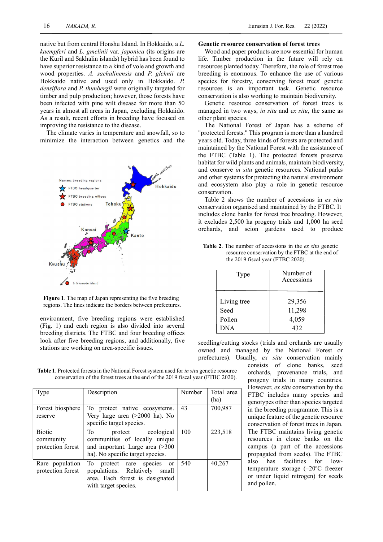native but from central Honshu Island. In Hokkaido, a L. kaempferi and L. gmelinii var. japonica (its origins are the Kuril and Sakhalin islands) hybrid has been found to have superior resistance to a kind of vole and growth and wood properties. A. sachalinensis and P. glehnii are Hokkaido native and used only in Hokkaido. P. densiflora and P. thunbergii were originally targeted for timber and pulp production; however, those forests have been infected with pine wilt disease for more than 50 years in almost all areas in Japan, excluding Hokkaido. As a result, recent efforts in breeding have focused on improving the resistance to the disease.

The climate varies in temperature and snowfall, so to minimize the interaction between genetics and the



Figure 1. The map of Japan representing the five breeding regions. The lines indicate the borders between prefectures.

environment, five breeding regions were established (Fig. 1) and each region is also divided into several breeding districts. The FTBC and four breeding offices look after five breeding regions, and additionally, five stations are working on area-specific issues.

### Genetic resource conservation of forest trees

Wood and paper products are now essential for human life. Timber production in the future will rely on resources planted today. Therefore, the role of forest tree breeding is enormous. To enhance the use of various species for forestry, conserving forest trees' genetic resources is an important task. Genetic resource conservation is also working to maintain biodiversity.

Genetic resource conservation of forest trees is managed in two ways, *in situ* and *ex situ*, the same as other plant species.

The National Forest of Japan has a scheme of "protected forests." This program is more than a hundred years old. Today, three kinds of forests are protected and maintained by the National Forest with the assistance of the FTBC (Table 1). The protected forests preserve habitat for wild plants and animals, maintain biodiversity, and conserve in situ genetic resources. National parks and other systems for protecting the natural environment and ecosystem also play a role in genetic resource conservation.

Table 2 shows the number of accessions in ex situ conservation organised and maintained by the FTBC. It includes clone banks for forest tree breeding. However, it excludes 2,500 ha progeny trials and 1,000 ha seed orchards, and scion gardens used to produce

Table 2. The number of accessions in the *ex situ* genetic resource conservation by the FTBC at the end of the 2019 fiscal year (FTBC 2020).

| Type        | Number of<br>Accessions |  |
|-------------|-------------------------|--|
| Living tree | 29,356                  |  |
| Seed        | 11,298                  |  |
| Pollen      | 4,059                   |  |
| <b>DNA</b>  | 432                     |  |

seedling/cutting stocks (trials and orchards are usually owned and managed by the National Forest or prefectures). Usually, ex situ conservation mainly

Table 1. Protected forests in the National Forest system used for *in situ* genetic resource conservation of the forest trees at the end of the 2019 fiscal year (FTBC 2020).

| <b>Type</b>                                     | Description                                                                                                                                | Number | Total area<br>(ha) |
|-------------------------------------------------|--------------------------------------------------------------------------------------------------------------------------------------------|--------|--------------------|
| Forest biosphere<br>reserve                     | To protect native ecosystems.<br>Very large area (>2000 ha). No<br>specific target species.                                                | 43     | 700,987            |
| <b>Biotic</b><br>community<br>protection forest | protect ecological<br>To<br>communities of locally unique<br>and important. Large area $($ >300<br>ha). No specific target species.        | 100    | 223,518            |
| Rare population<br>protection forest            | To<br>protect rare species<br><sub>or</sub><br>populations. Relatively<br>small<br>area. Each forest is designated<br>with target species. | 540    | 40,267             |

consists of clone banks, seed orchards, provenance trials, and progeny trials in many countries. However, ex situ conservation by the FTBC includes many species and genotypes other than species targeted in the breeding programme. This is a unique feature of the genetic resource conservation of forest trees in Japan. The FTBC maintains living genetic resources in clone banks on the campus (a part of the accessions propagated from seeds). The FTBC also has facilities for lowtemperature storage (–20ºC freezer or under liquid nitrogen) for seeds and pollen.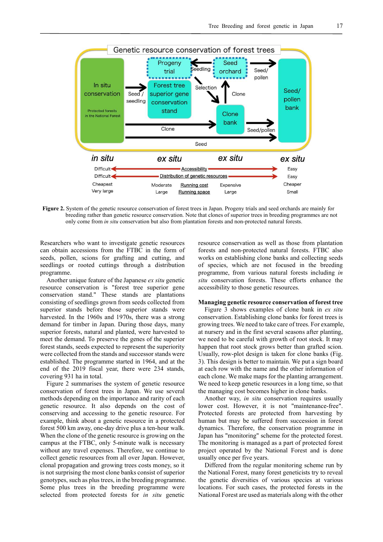

Figure 2. System of the genetic resource conservation of forest trees in Japan. Progeny trials and seed orchards are mainly for breeding rather than genetic resource conservation. Note that clones of superior trees in breeding programmes are not only come from in situ conservation but also from plantation forests and non-protected natural forests.

Researchers who want to investigate genetic resources can obtain accessions from the FTBC in the form of seeds, pollen, scions for grafting and cutting, and seedlings or rooted cuttings through a distribution programme.

Another unique feature of the Japanese ex situ genetic resource conservation is "forest tree superior gene conservation stand." These stands are plantations consisting of seedlings grown from seeds collected from superior stands before those superior stands were harvested. In the 1960s and 1970s, there was a strong demand for timber in Japan. During those days, many superior forests, natural and planted, were harvested to meet the demand. To preserve the genes of the superior forest stands, seeds expected to represent the superiority were collected from the stands and successor stands were established. The programme started in 1964, and at the end of the 2019 fiscal year, there were 234 stands, covering 931 ha in total.

Figure 2 summarises the system of genetic resource conservation of forest trees in Japan. We use several methods depending on the importance and rarity of each genetic resource. It also depends on the cost of conserving and accessing to the genetic resource. For example, think about a genetic resource in a protected forest 500 km away, one-day drive plus a ten-hour walk. When the clone of the genetic resource is growing on the campus at the FTBC, only 5-minute walk is necessary without any travel expenses. Therefore, we continue to collect genetic resources from all over Japan. However, clonal propagation and growing trees costs money, so it is not surprising the most clone banks consist of superior genotypes, such as plus trees, in the breeding programme. Some plus trees in the breeding programme were selected from protected forests for in situ genetic

resource conservation as well as those from plantation forests and non-protected natural forests. FTBC also works on establishing clone banks and collecting seeds of species, which are not focused in the breeding programme, from various natural forests including in situ conservation forests. These efforts enhance the accessibility to those genetic resources.

### Managing genetic resource conservation of forest tree

Figure 3 shows examples of clone bank in ex situ conservation. Establishing clone banks for forest trees is growing trees. We need to take care of trees. For example, at nursery and in the first several seasons after planting, we need to be careful with growth of root stock. It may happen that root stock grows better than grafted scion. Usually, row-plot design is taken for clone banks (Fig. 3). This design is better to maintain. We put a sign board at each row with the name and the other information of each clone. We make maps for the planting arrangement. We need to keep genetic resources in a long time, so that the managing cost becomes higher in clone banks.

Another way, in situ conservation requires usually lower cost. However, it is not "maintenance-free". Protected forests are protected from harvesting by human but may be suffered from succession in forest dynamics. Therefore, the conservation programme in Japan has "monitoring" scheme for the protected forest. The monitoring is managed as a part of protected forest project operated by the National Forest and is done usually once per five years.

Differed from the regular monitoring scheme run by the National Forest, many forest geneticists try to reveal the genetic diversities of various species at various locations. For such cases, the protected forests in the National Forest are used as materials along with the other